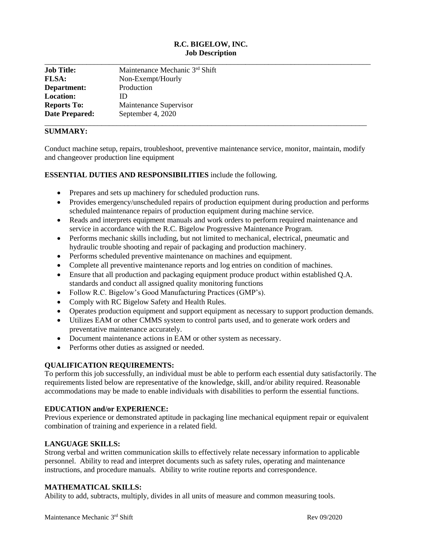# **R.C. BIGELOW, INC. Job Description**

| <b>Job Title:</b>     | Maintenance Mechanic 3rd Shift |
|-----------------------|--------------------------------|
| <b>FLSA:</b>          | Non-Exempt/Hourly              |
| Department:           | Production                     |
| <b>Location:</b>      | ID                             |
| <b>Reports To:</b>    | Maintenance Supervisor         |
| <b>Date Prepared:</b> | September 4, 2020              |

## **SUMMARY:**

Conduct machine setup, repairs, troubleshoot, preventive maintenance service, monitor, maintain, modify and changeover production line equipment

#### **ESSENTIAL DUTIES AND RESPONSIBILITIES** include the following.

- Prepares and sets up machinery for scheduled production runs.
- Provides emergency/unscheduled repairs of production equipment during production and performs scheduled maintenance repairs of production equipment during machine service.
- Reads and interprets equipment manuals and work orders to perform required maintenance and service in accordance with the R.C. Bigelow Progressive Maintenance Program.
- Performs mechanic skills including, but not limited to mechanical, electrical, pneumatic and hydraulic trouble shooting and repair of packaging and production machinery.
- Performs scheduled preventive maintenance on machines and equipment.
- Complete all preventive maintenance reports and log entries on condition of machines.
- Ensure that all production and packaging equipment produce product within established Q.A. standards and conduct all assigned quality monitoring functions
- Follow R.C. Bigelow's Good Manufacturing Practices (GMP's).
- Comply with RC Bigelow Safety and Health Rules.
- Operates production equipment and support equipment as necessary to support production demands.
- Utilizes EAM or other CMMS system to control parts used, and to generate work orders and preventative maintenance accurately.
- Document maintenance actions in EAM or other system as necessary.
- Performs other duties as assigned or needed.

### **QUALIFICATION REQUIREMENTS:**

To perform this job successfully, an individual must be able to perform each essential duty satisfactorily. The requirements listed below are representative of the knowledge, skill, and/or ability required. Reasonable accommodations may be made to enable individuals with disabilities to perform the essential functions.

#### **EDUCATION and/or EXPERIENCE:**

Previous experience or demonstrated aptitude in packaging line mechanical equipment repair or equivalent combination of training and experience in a related field.

## **LANGUAGE SKILLS:**

Strong verbal and written communication skills to effectively relate necessary information to applicable personnel. Ability to read and interpret documents such as safety rules, operating and maintenance instructions, and procedure manuals. Ability to write routine reports and correspondence.

#### **MATHEMATICAL SKILLS:**

Ability to add, subtracts, multiply, divides in all units of measure and common measuring tools.